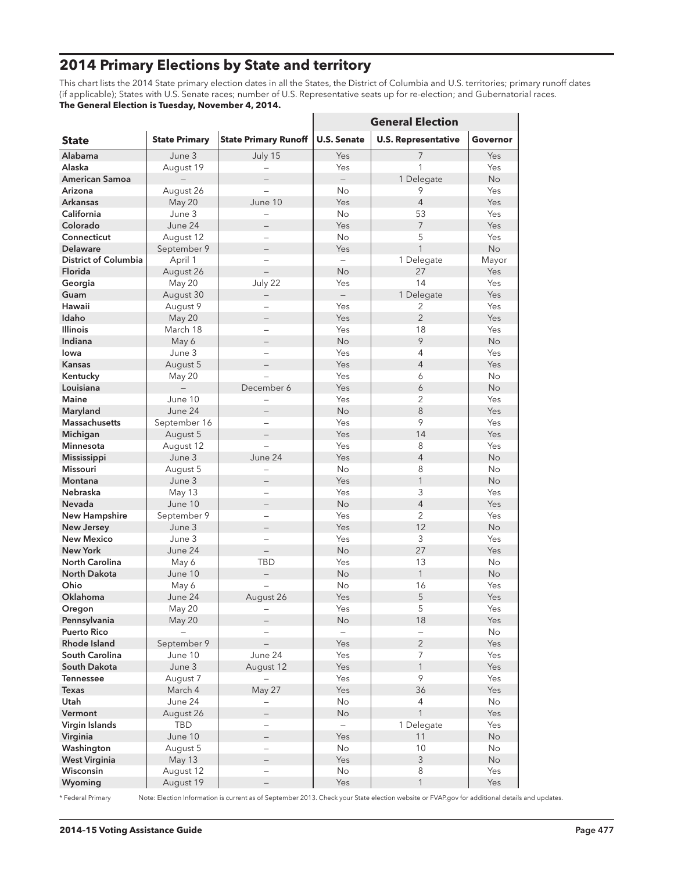# **2014 Primary Elections by State and territory**

This chart lists the 2014 State primary election dates in all the States, the District of Columbia and U.S. territories; primary runoff dates (if applicable); States with U.S. Senate races; number of U.S. Representative seats up for re-election; and Gubernatorial races. **The General Election is Tuesday, November 4, 2014.**

|                             |                      |                             | <b>General Election</b>  |                            |           |
|-----------------------------|----------------------|-----------------------------|--------------------------|----------------------------|-----------|
| <b>State</b>                | <b>State Primary</b> | <b>State Primary Runoff</b> | <b>U.S. Senate</b>       | <b>U.S. Representative</b> | Governor  |
| Alabama                     | June 3               | July 15                     | Yes                      | $\overline{7}$             | Yes       |
| Alaska                      | August 19            |                             | Yes                      | 1                          | Yes       |
| <b>American Samoa</b>       |                      |                             | $\overline{\phantom{0}}$ | 1 Delegate                 | <b>No</b> |
| Arizona                     | August 26            |                             | No                       | 9                          | Yes       |
| <b>Arkansas</b>             | May 20               | June 10                     | Yes                      | $\overline{4}$             | Yes       |
| California                  | June 3               |                             | <b>No</b>                | 53                         | Yes       |
| Colorado                    | June 24              |                             | Yes                      | $\overline{7}$             | Yes       |
| Connecticut                 | August 12            |                             | No                       | 5                          | Yes       |
| <b>Delaware</b>             | September 9          |                             | Yes                      | $\mathbf{1}$               | <b>No</b> |
| <b>District of Columbia</b> | April 1              |                             | $\overline{\phantom{0}}$ | 1 Delegate                 | Mayor     |
| Florida                     | August 26            | $\overline{\phantom{0}}$    | No                       | 27                         | Yes       |
| Georgia                     | May 20               | July 22                     | Yes                      | 14                         | Yes       |
| Guam                        | August 30            |                             | $-$                      | 1 Delegate                 | Yes       |
| Hawaii                      | August 9             |                             | Yes                      | 2                          | Yes       |
| Idaho                       | May 20               |                             | Yes                      | $\overline{2}$             | Yes       |
| <b>Illinois</b>             | March 18             | $\overline{\phantom{0}}$    | Yes                      | 18                         | Yes       |
| Indiana                     | May 6                |                             | No                       | 9                          | <b>No</b> |
| lowa                        | June 3               |                             | Yes                      | 4                          | Yes       |
| <b>Kansas</b>               | August 5             |                             | Yes                      | $\overline{4}$             | Yes       |
| Kentucky                    | May 20               |                             | Yes                      | 6                          | <b>No</b> |
| Louisiana                   |                      | December 6                  | Yes                      | 6                          | No        |
| <b>Maine</b>                | June 10              |                             | Yes                      | 2                          | Yes       |
| Maryland                    | June 24              |                             | No                       | 8                          | Yes       |
| <b>Massachusetts</b>        | September 16         |                             | Yes                      | 9                          | Yes       |
| Michigan                    | August 5             |                             | Yes                      | 14                         | Yes       |
| <b>Minnesota</b>            | August 12            |                             | Yes                      | 8                          | Yes       |
| Mississippi                 | June 3               | June 24                     | Yes                      | $\overline{4}$             | <b>No</b> |
| <b>Missouri</b>             | August 5             |                             | <b>No</b>                | 8                          | <b>No</b> |
| <b>Montana</b>              | June 3               |                             | Yes                      | 1                          | <b>No</b> |
| <b>Nebraska</b>             | May 13               | $\overline{\phantom{0}}$    | Yes                      | 3                          | Yes       |
| Nevada                      | June 10              |                             | <b>No</b>                | $\overline{4}$             | Yes       |
| <b>New Hampshire</b>        | September 9          |                             | Yes                      | 2                          | Yes       |
| New Jersey                  | June 3               | $\qquad \qquad -$           | Yes                      | 12                         | <b>No</b> |
| <b>New Mexico</b>           | June 3               |                             | Yes                      | 3                          | Yes       |
| <b>New York</b>             | June 24              |                             | No                       | 27                         | Yes       |
| <b>North Carolina</b>       | May 6                | <b>TBD</b>                  | Yes                      | 13                         | <b>No</b> |
| <b>North Dakota</b>         | June 10              |                             | No                       | $\mathbf{1}$               | <b>No</b> |
| Ohio                        | May 6                |                             | No                       | 16                         | Yes       |
| Oklahoma                    | June 24              | August 26                   | Yes                      | 5                          | Yes       |
| Oregon                      | May 20               |                             | Yes                      | 5                          | Yes       |
| Pennsylvania                | May 20               |                             | No                       | 18                         | Yes       |
| <b>Puerto Rico</b>          |                      |                             |                          |                            | No        |
| Rhode Island                | September 9          |                             | Yes                      | $\overline{2}$             | Yes       |
| South Carolina              | June 10              | June 24                     | Yes                      | $\overline{7}$             | Yes       |
| South Dakota                | June 3               | August 12                   | Yes                      | $\mathbf{1}$               | Yes       |
| <b>Tennessee</b>            | August 7             |                             | Yes                      | 9                          | Yes       |
| <b>Texas</b>                | March 4              | May 27                      | Yes                      | 36                         | Yes       |
| Utah                        | June 24              |                             | No                       | 4                          | No        |
| Vermont                     | August 26            | $\overline{\phantom{0}}$    | No                       | $\mathbf{1}$               | Yes       |
| Virgin Islands              | TBD                  |                             |                          | 1 Delegate                 | Yes       |
| Virginia                    | June 10              |                             | Yes                      | 11                         | <b>No</b> |
| Washington                  | August 5             |                             | No                       | 10                         | No        |
| <b>West Virginia</b>        | May 13               |                             | Yes                      | 3                          | <b>No</b> |
| Wisconsin                   | August 12            |                             | No                       | 8                          | Yes       |
| Wyoming                     | August 19            |                             | Yes                      | $\mathbf{1}$               | Yes       |

\* Federal Primary Note: Election Information is current as of September 2013. Check your State election website or FVAP.gov for additional details and updates.